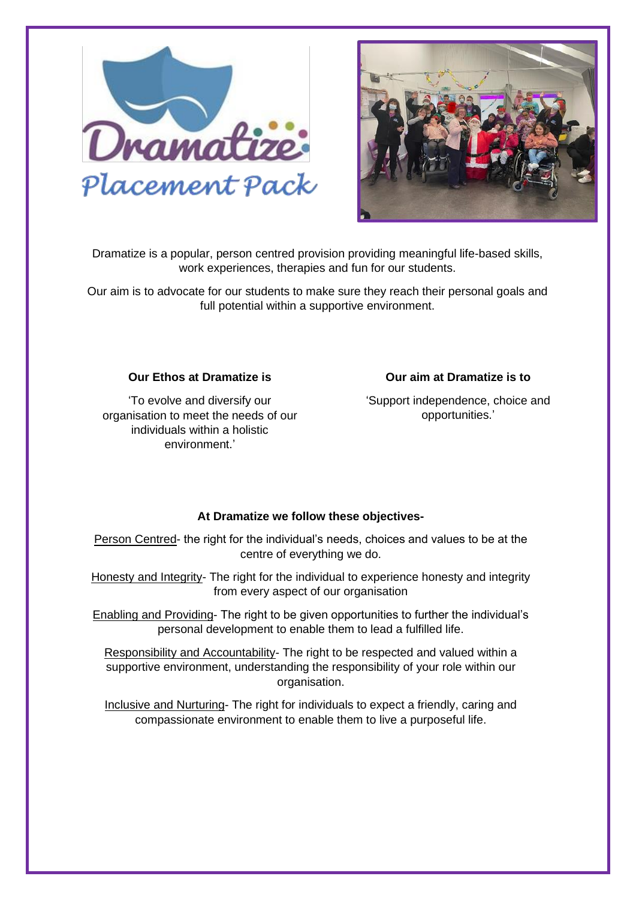



Dramatize is a popular, person centred provision providing meaningful life-based skills, work experiences, therapies and fun for our students.

Our aim is to advocate for our students to make sure they reach their personal goals and full potential within a supportive environment.

### **Our Ethos at Dramatize is**

'To evolve and diversify our organisation to meet the needs of our individuals within a holistic environment.'

### **Our aim at Dramatize is to**

'Support independence, choice and opportunities.'

#### **At Dramatize we follow these objectives-**

Person Centred- the right for the individual's needs, choices and values to be at the centre of everything we do.

Honesty and Integrity- The right for the individual to experience honesty and integrity from every aspect of our organisation

Enabling and Providing- The right to be given opportunities to further the individual's personal development to enable them to lead a fulfilled life.

Responsibility and Accountability- The right to be respected and valued within a supportive environment, understanding the responsibility of your role within our organisation.

Inclusive and Nurturing- The right for individuals to expect a friendly, caring and compassionate environment to enable them to live a purposeful life.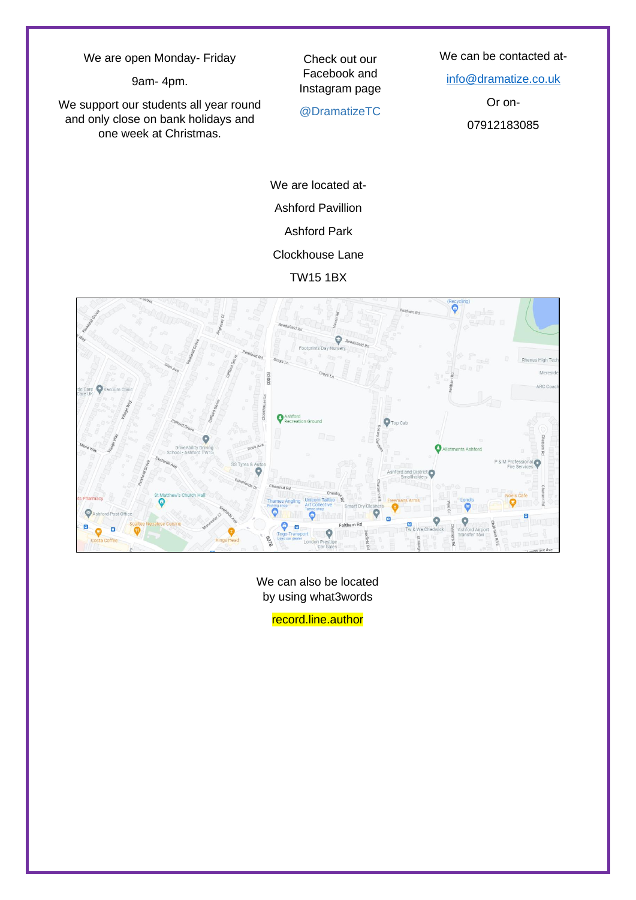We are open Monday- Friday

9am- 4pm.

We support our students all year round and only close on bank holidays and one week at Christmas.

Check out our Facebook and Instagram page

@DramatizeTC

We can be contacted at-

[info@dramatize.co.uk](mailto:info@dramatize.co.uk)

Or on-

07912183085

We are located at-Ashford Pavillion Ashford Park Clockhouse Lane

TW15 1BX



We can also be located by using what3words

record.line.author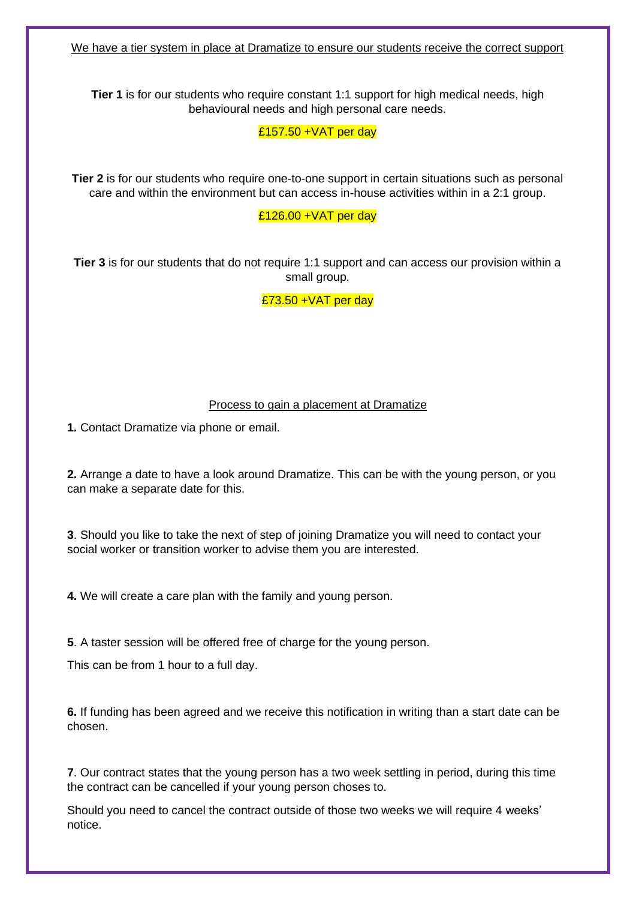We have a tier system in place at Dramatize to ensure our students receive the correct support

**Tier 1** is for our students who require constant 1:1 support for high medical needs, high behavioural needs and high personal care needs.

 $£157.50 + VAT$  per day

**Tier 2** is for our students who require one-to-one support in certain situations such as personal care and within the environment but can access in-house activities within in a 2:1 group.

£126.00 +VAT per day

**Tier 3** is for our students that do not require 1:1 support and can access our provision within a small group.

 $£73.50 + VAT$  per day

#### Process to gain a placement at Dramatize

**1.** Contact Dramatize via phone or email.

**2.** Arrange a date to have a look around Dramatize. This can be with the young person, or you can make a separate date for this.

**3**. Should you like to take the next of step of joining Dramatize you will need to contact your social worker or transition worker to advise them you are interested.

**4.** We will create a care plan with the family and young person.

**5**. A taster session will be offered free of charge for the young person.

This can be from 1 hour to a full day.

**6.** If funding has been agreed and we receive this notification in writing than a start date can be chosen.

**7**. Our contract states that the young person has a two week settling in period, during this time the contract can be cancelled if your young person choses to.

Should you need to cancel the contract outside of those two weeks we will require 4 weeks' notice.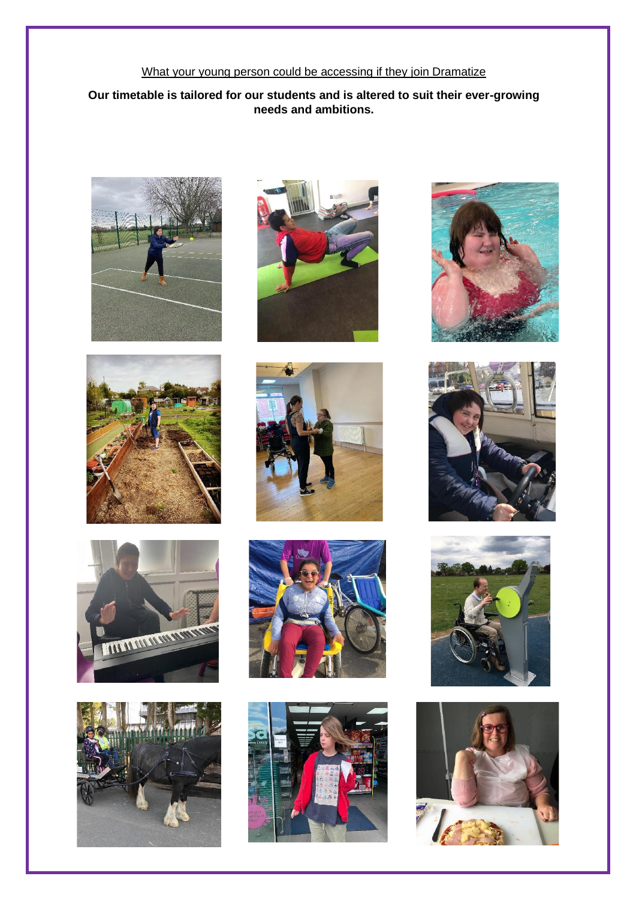# What your young person could be accessing if they join Dramatize

# **Our timetable is tailored for our students and is altered to suit their ever-growing needs and ambitions.**